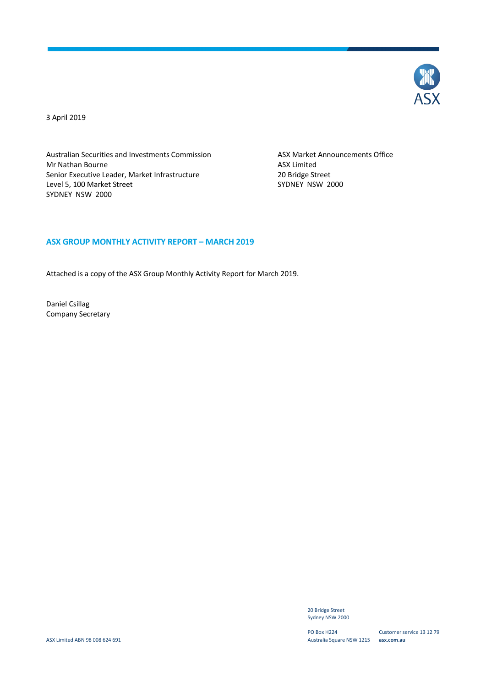

3 April 2019

Australian Securities and Investments Commission ASX Market Announcements Office Mr Nathan Bourne **ASX** Limited Senior Executive Leader, Market Infrastructure 20 Bridge Street<br>
20 Bridge Street<br>
2000 SYDNEY NSW Level 5, 100 Market Street SYDNEY NSW 2000

# **ASX GROUP MONTHLY ACTIVITY REPORT – MARCH 2019**

Attached is a copy of the ASX Group Monthly Activity Report for March 2019.

Daniel Csillag Company Secretary

> 20 Bridge Street Sydney NSW 2000

PO Box H224 Australia Square NSW 1215 **asx.com.au**

Customer service 13 12 79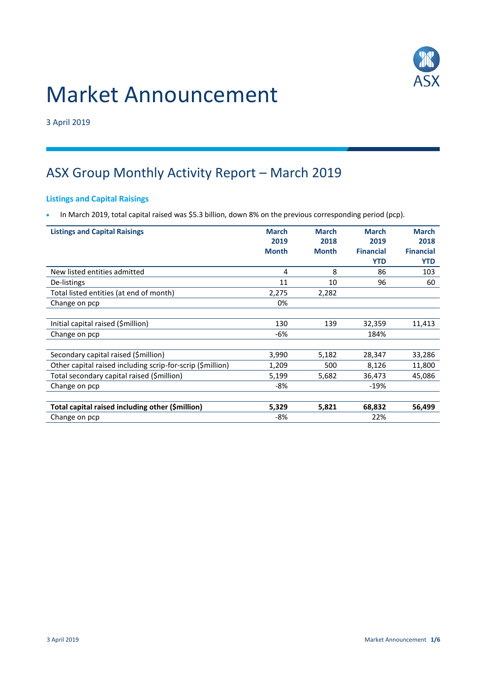

# Market Announcement

3 April 2019

# ASX Group Monthly Activity Report – March 2019

# **Listings and Capital Raisings**

• In March 2019, total capital raised was \$5.3 billion, down 8% on the previous corresponding period (pcp).

| <b>Listings and Capital Raisings</b>                       | <b>March</b> | <b>March</b> | <b>March</b>     | <b>March</b>     |
|------------------------------------------------------------|--------------|--------------|------------------|------------------|
|                                                            | 2019         | 2018         | 2019             | 2018             |
|                                                            | <b>Month</b> | <b>Month</b> | <b>Financial</b> | <b>Financial</b> |
|                                                            |              |              | <b>YTD</b>       | <b>YTD</b>       |
| New listed entities admitted                               | 4            | 8            | 86               | 103              |
| De-listings                                                | 11           | 10           | 96               | 60               |
| Total listed entities (at end of month)                    | 2,275        | 2,282        |                  |                  |
| Change on pcp                                              | 0%           |              |                  |                  |
|                                                            |              |              |                  |                  |
| Initial capital raised (\$million)                         | 130          | 139          | 32,359           | 11,413           |
| Change on pcp                                              | -6%          |              | 184%             |                  |
|                                                            |              |              |                  |                  |
| Secondary capital raised (\$million)                       | 3,990        | 5,182        | 28,347           | 33,286           |
| Other capital raised including scrip-for-scrip (\$million) | 1,209        | 500          | 8,126            | 11,800           |
| Total secondary capital raised (\$million)                 | 5,199        | 5,682        | 36,473           | 45,086           |
| Change on pcp                                              | $-8%$        |              | $-19%$           |                  |
|                                                            |              |              |                  |                  |
| Total capital raised including other (\$million)           | 5,329        | 5,821        | 68,832           | 56,499           |
| Change on pcp                                              | -8%          |              | 22%              |                  |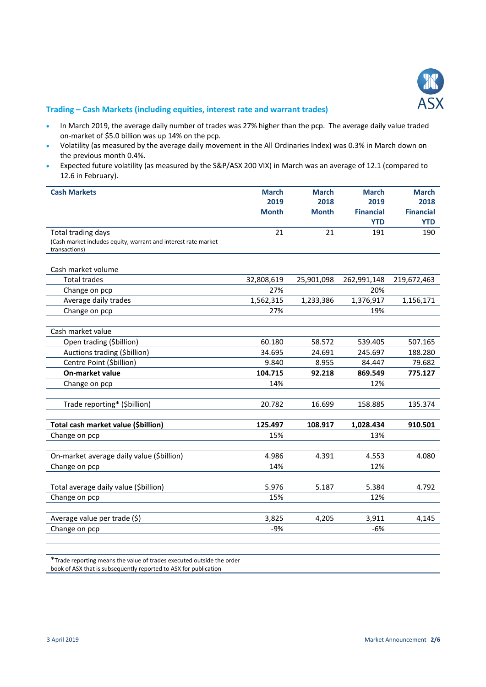

# **Trading – Cash Markets (including equities, interest rate and warrant trades)**

- In March 2019, the average daily number of trades was 27% higher than the pcp. The average daily value traded on-market of \$5.0 billion was up 14% on the pcp.
- Volatility (as measured by the average daily movement in the All Ordinaries Index) was 0.3% in March down on the previous month 0.4%.
- Expected future volatility (as measured by the S&P/ASX 200 VIX) in March was an average of 12.1 (compared to 12.6 in February).

| <b>Cash Markets</b>                                            | <b>March</b> | <b>March</b> | <b>March</b>     | <b>March</b>     |
|----------------------------------------------------------------|--------------|--------------|------------------|------------------|
|                                                                | 2019         | 2018         | 2019             | 2018             |
|                                                                | <b>Month</b> | <b>Month</b> | <b>Financial</b> | <b>Financial</b> |
|                                                                |              |              | <b>YTD</b>       | <b>YTD</b>       |
| Total trading days                                             | 21           | 21           | 191              | 190              |
| (Cash market includes equity, warrant and interest rate market |              |              |                  |                  |
| transactions)                                                  |              |              |                  |                  |
| Cash market volume                                             |              |              |                  |                  |
| <b>Total trades</b>                                            | 32,808,619   | 25,901,098   | 262,991,148      | 219,672,463      |
| Change on pcp                                                  | 27%          |              | 20%              |                  |
| Average daily trades                                           | 1,562,315    | 1,233,386    | 1,376,917        | 1,156,171        |
| Change on pcp                                                  | 27%          |              | 19%              |                  |
|                                                                |              |              |                  |                  |
| Cash market value                                              |              |              |                  |                  |
| Open trading (\$billion)                                       | 60.180       | 58.572       | 539.405          | 507.165          |
| Auctions trading (\$billion)                                   | 34.695       | 24.691       | 245.697          | 188.280          |
| Centre Point (\$billion)                                       | 9.840        | 8.955        | 84.447           | 79.682           |
| <b>On-market value</b>                                         | 104.715      | 92.218       | 869.549          | 775.127          |
| Change on pcp                                                  | 14%          |              | 12%              |                  |
|                                                                |              |              |                  |                  |
| Trade reporting* (\$billion)                                   | 20.782       | 16.699       | 158.885          | 135.374          |
|                                                                |              |              |                  |                  |
| Total cash market value (\$billion)                            | 125.497      | 108.917      | 1,028.434        | 910.501          |
| Change on pcp                                                  | 15%          |              | 13%              |                  |
| On-market average daily value (\$billion)                      | 4.986        | 4.391        | 4.553            | 4.080            |
| Change on pcp                                                  | 14%          |              | 12%              |                  |
|                                                                |              |              |                  |                  |
| Total average daily value (\$billion)                          | 5.976        | 5.187        | 5.384            | 4.792            |
| Change on pcp                                                  | 15%          |              | 12%              |                  |
|                                                                |              |              |                  |                  |
| Average value per trade (\$)                                   | 3,825        | 4,205        | 3,911            | 4,145            |
| Change on pcp                                                  | $-9%$        |              | $-6%$            |                  |

\*Trade reporting means the value of trades executed outside the order book of ASX that is subsequently reported to ASX for publication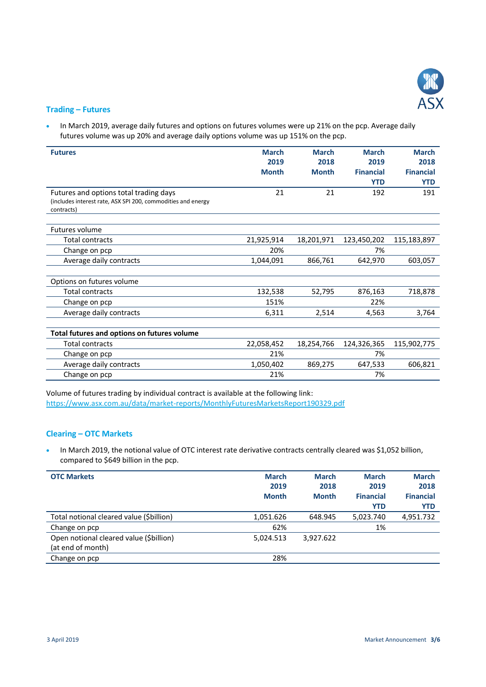

### **Trading – Futures**

• In March 2019, average daily futures and options on futures volumes were up 21% on the pcp. Average daily futures volume was up 20% and average daily options volume was up 151% on the pcp.

| <b>Futures</b>                                                                                                       | <b>March</b><br>2019<br><b>Month</b> | <b>March</b><br>2018<br><b>Month</b> | <b>March</b><br>2019<br><b>Financial</b><br><b>YTD</b> | <b>March</b><br>2018<br><b>Financial</b><br><b>YTD</b> |
|----------------------------------------------------------------------------------------------------------------------|--------------------------------------|--------------------------------------|--------------------------------------------------------|--------------------------------------------------------|
| Futures and options total trading days<br>(includes interest rate, ASX SPI 200, commodities and energy<br>contracts) | 21                                   | 21                                   | 192                                                    | 191                                                    |
| Futures volume                                                                                                       |                                      |                                      |                                                        |                                                        |
| <b>Total contracts</b>                                                                                               | 21,925,914                           | 18,201,971                           | 123,450,202                                            | 115,183,897                                            |
| Change on pcp                                                                                                        | 20%                                  |                                      | 7%                                                     |                                                        |
| Average daily contracts                                                                                              | 1,044,091                            | 866,761                              | 642,970                                                | 603,057                                                |
| Options on futures volume                                                                                            |                                      |                                      |                                                        |                                                        |
| <b>Total contracts</b>                                                                                               | 132,538                              | 52,795                               | 876,163                                                | 718,878                                                |
| Change on pcp                                                                                                        | 151%                                 |                                      | 22%                                                    |                                                        |
| Average daily contracts                                                                                              | 6,311                                | 2,514                                | 4,563                                                  | 3,764                                                  |
| Total futures and options on futures volume                                                                          |                                      |                                      |                                                        |                                                        |
| <b>Total contracts</b>                                                                                               | 22,058,452                           | 18,254,766                           | 124,326,365                                            | 115,902,775                                            |
| Change on pcp                                                                                                        | 21%                                  |                                      | 7%                                                     |                                                        |
| Average daily contracts                                                                                              | 1,050,402                            | 869,275                              | 647,533                                                | 606,821                                                |
| Change on pcp                                                                                                        | 21%                                  |                                      | 7%                                                     |                                                        |

Volume of futures trading by individual contract is available at the following link: <https://www.asx.com.au/data/market-reports/MonthlyFuturesMarketsReport190329.pdf>

# **Clearing – OTC Markets**

• In March 2019, the notional value of OTC interest rate derivative contracts centrally cleared was \$1,052 billion, compared to \$649 billion in the pcp.

| <b>OTC Markets</b>                                           | <b>March</b><br>2019<br><b>Month</b> | <b>March</b><br>2018<br><b>Month</b> | <b>March</b><br>2019<br><b>Financial</b><br><b>YTD</b> | <b>March</b><br>2018<br><b>Financial</b><br><b>YTD</b> |
|--------------------------------------------------------------|--------------------------------------|--------------------------------------|--------------------------------------------------------|--------------------------------------------------------|
| Total notional cleared value (\$billion)                     | 1,051.626                            | 648.945                              | 5,023.740                                              | 4,951.732                                              |
| Change on pcp                                                | 62%                                  |                                      | 1%                                                     |                                                        |
| Open notional cleared value (\$billion)<br>(at end of month) | 5,024.513                            | 3,927.622                            |                                                        |                                                        |
| Change on pcp                                                | 28%                                  |                                      |                                                        |                                                        |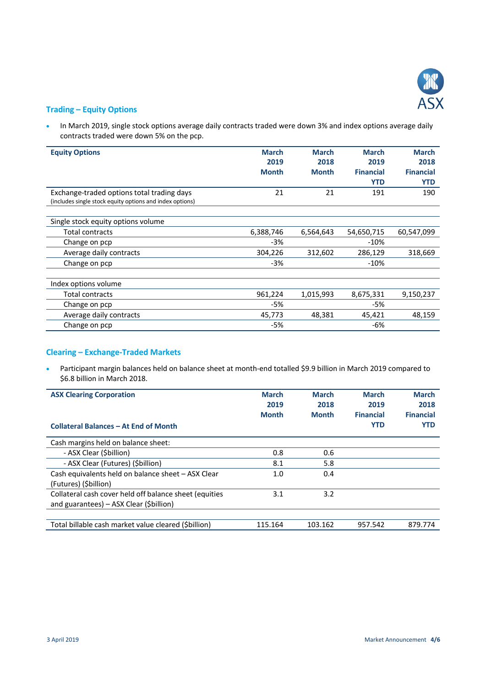

# **Trading – Equity Options**

• In March 2019, single stock options average daily contracts traded were down 3% and index options average daily contracts traded were down 5% on the pcp.

| <b>Equity Options</b>                                    | <b>March</b> | <b>March</b> | <b>March</b>     | <b>March</b>     |
|----------------------------------------------------------|--------------|--------------|------------------|------------------|
|                                                          | 2019         | 2018         | 2019             | 2018             |
|                                                          | <b>Month</b> | <b>Month</b> | <b>Financial</b> | <b>Financial</b> |
|                                                          |              |              | <b>YTD</b>       | <b>YTD</b>       |
| Exchange-traded options total trading days               | 21           | 21           | 191              | 190              |
| (includes single stock equity options and index options) |              |              |                  |                  |
|                                                          |              |              |                  |                  |
| Single stock equity options volume                       |              |              |                  |                  |
| Total contracts                                          | 6,388,746    | 6,564,643    | 54,650,715       | 60,547,099       |
| Change on pcp                                            | $-3%$        |              | $-10%$           |                  |
| Average daily contracts                                  | 304,226      | 312,602      | 286,129          | 318,669          |
| Change on pcp                                            | $-3%$        |              | $-10%$           |                  |
|                                                          |              |              |                  |                  |
| Index options volume                                     |              |              |                  |                  |
| Total contracts                                          | 961,224      | 1,015,993    | 8,675,331        | 9,150,237        |
| Change on pcp                                            | -5%          |              | -5%              |                  |
| Average daily contracts                                  | 45,773       | 48,381       | 45,421           | 48,159           |
| Change on pcp                                            | -5%          |              | -6%              |                  |

# **Clearing – Exchange-Traded Markets**

 Participant margin balances held on balance sheet at month-end totalled \$9.9 billion in March 2019 compared to \$6.8 billion in March 2018.

| <b>ASX Clearing Corporation</b><br><b>Collateral Balances - At End of Month</b> | <b>March</b><br>2019<br><b>Month</b> | <b>March</b><br>2018<br><b>Month</b> | <b>March</b><br>2019<br><b>Financial</b><br><b>YTD</b> | <b>March</b><br>2018<br><b>Financial</b><br><b>YTD</b> |
|---------------------------------------------------------------------------------|--------------------------------------|--------------------------------------|--------------------------------------------------------|--------------------------------------------------------|
| Cash margins held on balance sheet:                                             |                                      |                                      |                                                        |                                                        |
| - ASX Clear (\$billion)                                                         | 0.8                                  | 0.6                                  |                                                        |                                                        |
| - ASX Clear (Futures) (\$billion)                                               | 8.1                                  | 5.8                                  |                                                        |                                                        |
| Cash equivalents held on balance sheet - ASX Clear<br>(Futures) (\$billion)     | 1.0                                  | 0.4                                  |                                                        |                                                        |
| Collateral cash cover held off balance sheet (equities                          | 3.1                                  | 3.2                                  |                                                        |                                                        |
| and guarantees) – ASX Clear (\$billion)                                         |                                      |                                      |                                                        |                                                        |
|                                                                                 |                                      |                                      |                                                        |                                                        |
| Total billable cash market value cleared (Sbillion)                             | 115.164                              | 103.162                              | 957.542                                                | 879.774                                                |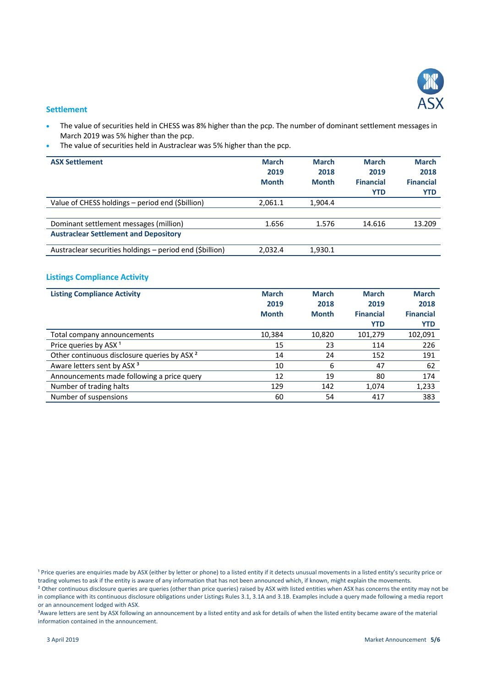

#### **Settlement**

- The value of securities held in CHESS was 8% higher than the pcp. The number of dominant settlement messages in March 2019 was 5% higher than the pcp.
- The value of securities held in Austraclear was 5% higher than the pcp.

| <b>ASX Settlement</b>                                    | <b>March</b><br>2019<br><b>Month</b> | <b>March</b><br>2018<br><b>Month</b> | <b>March</b><br>2019<br><b>Financial</b><br><b>YTD</b> | <b>March</b><br>2018<br><b>Financial</b><br>YTD |
|----------------------------------------------------------|--------------------------------------|--------------------------------------|--------------------------------------------------------|-------------------------------------------------|
| Value of CHESS holdings - period end (\$billion)         | 2,061.1                              | 1,904.4                              |                                                        |                                                 |
|                                                          |                                      |                                      |                                                        |                                                 |
| Dominant settlement messages (million)                   | 1.656                                | 1.576                                | 14.616                                                 | 13.209                                          |
| <b>Austraclear Settlement and Depository</b>             |                                      |                                      |                                                        |                                                 |
| Austraclear securities holdings – period end (\$billion) | 2,032.4                              | 1,930.1                              |                                                        |                                                 |

## **Listings Compliance Activity**

| <b>Listing Compliance Activity</b>                      | <b>March</b> | <b>March</b> | <b>March</b>     | <b>March</b>     |
|---------------------------------------------------------|--------------|--------------|------------------|------------------|
|                                                         | 2019         | 2018         | 2019             | 2018             |
|                                                         | <b>Month</b> | <b>Month</b> | <b>Financial</b> | <b>Financial</b> |
|                                                         |              |              | <b>YTD</b>       | <b>YTD</b>       |
| Total company announcements                             | 10,384       | 10,820       | 101.279          | 102,091          |
| Price queries by ASX <sup>1</sup>                       | 15           | 23           | 114              | 226              |
| Other continuous disclosure queries by ASX <sup>2</sup> | 14           | 24           | 152              | 191              |
| Aware letters sent by ASX <sup>3</sup>                  | 10           | 6            | 47               | 62               |
| Announcements made following a price query              | 12           | 19           | 80               | 174              |
| Number of trading halts                                 | 129          | 142          | 1,074            | 1,233            |
| Number of suspensions                                   | 60           | 54           | 417              | 383              |

<sup>1</sup> Price queries are enquiries made by ASX (either by letter or phone) to a listed entity if it detects unusual movements in a listed entity's security price or trading volumes to ask if the entity is aware of any information that has not been announced which, if known, might explain the movements.

<sup>2</sup> Other continuous disclosure queries are queries (other than price queries) raised by ASX with listed entities when ASX has concerns the entity may not be in compliance with its continuous disclosure obligations under Listings Rules 3.1, 3.1A and 3.1B. Examples include a query made following a media report or an announcement lodged with ASX.

<sup>3</sup>Aware letters are sent by ASX following an announcement by a listed entity and ask for details of when the listed entity became aware of the material information contained in the announcement.